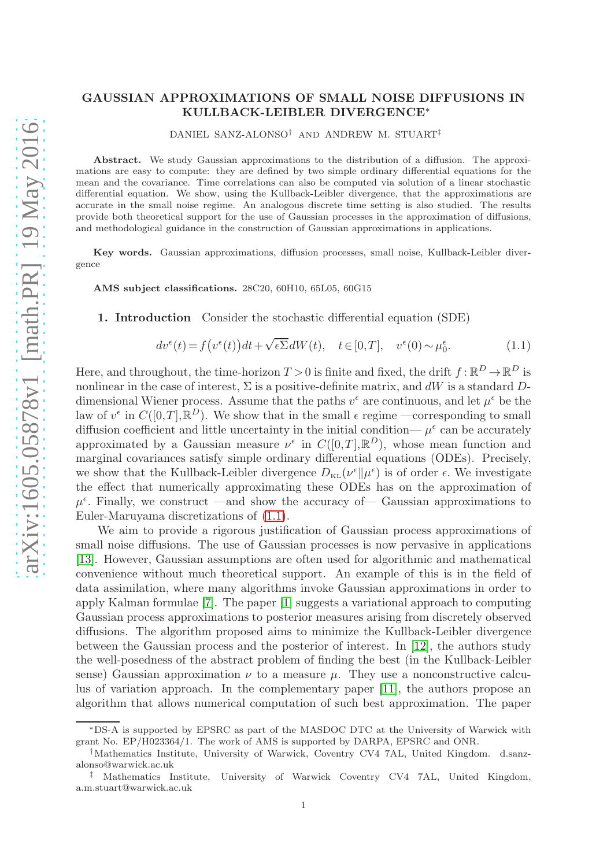## GAUSSIAN APPROXIMATIONS OF SMALL NOISE DIFFUSIONS IN KULLBACK-LEIBLER DIVERGENCE<sup>∗</sup>

DANIEL SANZ-ALONSO† AND ANDREW M. STUART‡

Abstract. We study Gaussian approximations to the distribution of a diffusion. The approximations are easy to compute: they are defined by two simple ordinary differential equations for the mean and the covariance. Time correlations can also be computed via solution of a linear stochastic differential equation. We show, using the Kullback-Leibler divergence, that the approximations are accurate in the small noise regime. An analogous discrete time setting is also studied. The results provide both theoretical support for the use of Gaussian processes in the approximation of diffusions, and methodological guidance in the construction of Gaussian approximations in applications.

Key words. Gaussian approximations, diffusion processes, small noise, Kullback-Leibler divergence

AMS subject classifications. 28C20, 60H10, 65L05, 60G15

1. Introduction Consider the stochastic differential equation (SDE)

<span id="page-0-0"></span>
$$
dv^{\epsilon}(t) = f(v^{\epsilon}(t))dt + \sqrt{\epsilon \Sigma}dW(t), \quad t \in [0,T], \quad v^{\epsilon}(0) \sim \mu_0^{\epsilon}.
$$
 (1.1)

Here, and throughout, the time-horizon  $T > 0$  is finite and fixed, the drift  $f : \mathbb{R}^D \to \mathbb{R}^D$  is nonlinear in the case of interest,  $\Sigma$  is a positive-definite matrix, and dW is a standard Ddimensional Wiener process. Assume that the paths  $v^{\epsilon}$  are continuous, and let  $\mu^{\epsilon}$  be the law of  $v^{\epsilon}$  in  $C([0,T],\mathbb{R}^D)$ . We show that in the small  $\epsilon$  regime —corresponding to small diffusion coefficient and little uncertainty in the initial condition—  $\mu^{\epsilon}$  can be accurately approximated by a Gaussian measure  $\nu^{\epsilon}$  in  $C([0,T], \mathbb{R}^D)$ , whose mean function and marginal covariances satisfy simple ordinary differential equations (ODEs). Precisely, we show that the Kullback-Leibler divergence  $D_{\text{KL}}(\nu^{\epsilon}||\mu^{\epsilon})$  is of order  $\epsilon$ . We investigate the effect that numerically approximating these ODEs has on the approximation of  $\mu^{\epsilon}$ . Finally, we construct —and show the accuracy of — Gaussian approximations to Euler-Maruyama discretizations of [\(1.1\)](#page-0-0).

We aim to provide a rigorous justification of Gaussian process approximations of small noise diffusions. The use of Gaussian processes is now pervasive in applications [\[13\]](#page-9-0). However, Gaussian assumptions are often used for algorithmic and mathematical convenience without much theoretical support. An example of this is in the field of data assimilation, where many algorithms invoke Gaussian approximations in order to apply Kalman formulae [\[7\]](#page-9-1). The paper [\[1\]](#page-9-2) suggests a variational approach to computing Gaussian process approximations to posterior measures arising from discretely observed diffusions. The algorithm proposed aims to minimize the Kullback-Leibler divergence between the Gaussian process and the posterior of interest. In [\[12\]](#page-9-3), the authors study the well-posedness of the abstract problem of finding the best (in the Kullback-Leibler sense) Gaussian approximation  $\nu$  to a measure  $\mu$ . They use a nonconstructive calculus of variation approach. In the complementary paper [\[11\]](#page-9-4), the authors propose an algorithm that allows numerical computation of such best approximation. The paper

<sup>∗</sup>DS-A is supported by EPSRC as part of the MASDOC DTC at the University of Warwick with grant No. EP/H023364/1. The work of AMS is supported by DARPA, EPSRC and ONR.

<sup>†</sup>Mathematics Institute, University of Warwick, Coventry CV4 7AL, United Kingdom. d.sanzalonso@warwick.ac.uk

<sup>‡</sup> Mathematics Institute, University of Warwick Coventry CV4 7AL, United Kingdom, a.m.stuart@warwick.ac.uk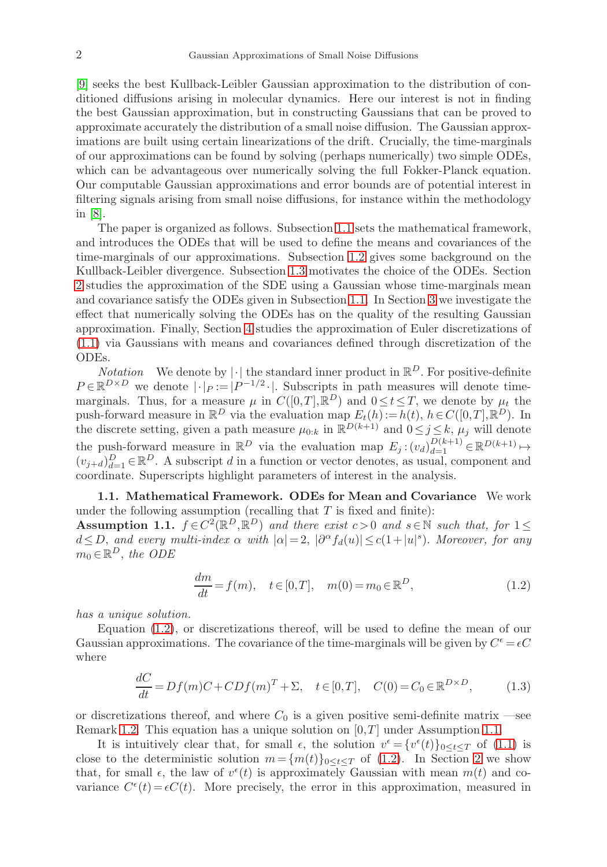[\[9\]](#page-9-5) seeks the best Kullback-Leibler Gaussian approximation to the distribution of conditioned diffusions arising in molecular dynamics. Here our interest is not in finding the best Gaussian approximation, but in constructing Gaussians that can be proved to approximate accurately the distribution of a small noise diffusion. The Gaussian approximations are built using certain linearizations of the drift. Crucially, the time-marginals of our approximations can be found by solving (perhaps numerically) two simple ODEs, which can be advantageous over numerically solving the full Fokker-Planck equation. Our computable Gaussian approximations and error bounds are of potential interest in filtering signals arising from small noise diffusions, for instance within the methodology in [\[8\]](#page-9-6).

The paper is organized as follows. Subsection [1.1](#page-1-0) sets the mathematical framework, and introduces the ODEs that will be used to define the means and covariances of the time-marginals of our approximations. Subsection [1.2](#page-2-0) gives some background on the Kullback-Leibler divergence. Subsection [1.3](#page-3-0) motivates the choice of the ODEs. Section [2](#page-3-1) studies the approximation of the SDE using a Gaussian whose time-marginals mean and covariance satisfy the ODEs given in Subsection [1.1.](#page-1-0) In Section [3](#page-5-0) we investigate the effect that numerically solving the ODEs has on the quality of the resulting Gaussian approximation. Finally, Section [4](#page-7-0) studies the approximation of Euler discretizations of [\(1.1\)](#page-0-0) via Gaussians with means and covariances defined through discretization of the ODEs.

*Notation* We denote by  $|\cdot|$  the standard inner product in  $\mathbb{R}^D$ . For positive-definite  $P \in \mathbb{R}^{D \times D}$  we denote  $|\cdot|_P := |P^{-1/2} \cdot|$ . Subscripts in path measures will denote timemarginals. Thus, for a measure  $\mu$  in  $C([0,T],\mathbb{R}^D)$  and  $0 \le t \le T$ , we denote by  $\mu_t$  the push-forward measure in  $\mathbb{R}^D$  via the evaluation map  $E_t(h) := h(t), h \in C([0,T], \mathbb{R}^D)$ . In the discrete setting, given a path measure  $\mu_{0:k}$  in  $\mathbb{R}^{D(k+1)}$  and  $0 \leq j \leq k$ ,  $\mu_j$  will denote the push-forward measure in  $\mathbb{R}^D$  via the evaluation map  $E_j$ :  $(v_d)_{d=1}^{D(k+1)} \in \mathbb{R}^{D(k+1)} \mapsto$  $(v_{j+d})_{d=1}^D \in \mathbb{R}^D$ . A subscript d in a function or vector denotes, as usual, component and coordinate. Superscripts highlight parameters of interest in the analysis.

<span id="page-1-0"></span>1.1. Mathematical Framework. ODEs for Mean and Covariance We work under the following assumption (recalling that  $T$  is fixed and finite):

<span id="page-1-2"></span>Assumption 1.1.  $f \in C^2(\mathbb{R}^D, \mathbb{R}^D)$  and there exist  $c > 0$  and  $s \in \mathbb{N}$  such that, for  $1 \leq$  $d \leq D$ , and every multi-index  $\alpha$  with  $|\alpha| = 2$ ,  $|\partial^{\alpha} f_d(u)| \leq c(1+|u|^s)$ . Moreover, for any  $m_0 \in \mathbb{R}^D$ , the ODE

<span id="page-1-1"></span>
$$
\frac{dm}{dt} = f(m), \quad t \in [0, T], \quad m(0) = m_0 \in \mathbb{R}^D,
$$
\n(1.2)

has a unique solution.

Equation [\(1.2\)](#page-1-1), or discretizations thereof, will be used to define the mean of our Gaussian approximations. The covariance of the time-marginals will be given by  $C^{\epsilon} = \epsilon C$ where

<span id="page-1-3"></span>
$$
\frac{dC}{dt} = Df(m)C + CDf(m)^{T} + \Sigma, \quad t \in [0, T], \quad C(0) = C_0 \in \mathbb{R}^{D \times D}, \tag{1.3}
$$

or discretizations thereof, and where  $C_0$  is a given positive semi-definite matrix —see Remark [1.2.](#page-2-1) This equation has a unique solution on  $[0, T]$  under Assumption [1.1.](#page-1-2)

It is intuitively clear that, for small  $\epsilon$ , the solution  $v^{\epsilon} = \{v^{\epsilon}(t)\}_{0 \leq t \leq T}$  of [\(1.1\)](#page-0-0) is close to the deterministic solution  $m = \{m(t)\}_{0 \leq t \leq T}$  of [\(1.2\)](#page-1-1). In Section [2](#page-3-1) we show that, for small  $\epsilon$ , the law of  $v^{\epsilon}(t)$  is approximately Gaussian with mean  $m(t)$  and covariance  $C^{\epsilon}(t) = \epsilon C(t)$ . More precisely, the error in this approximation, measured in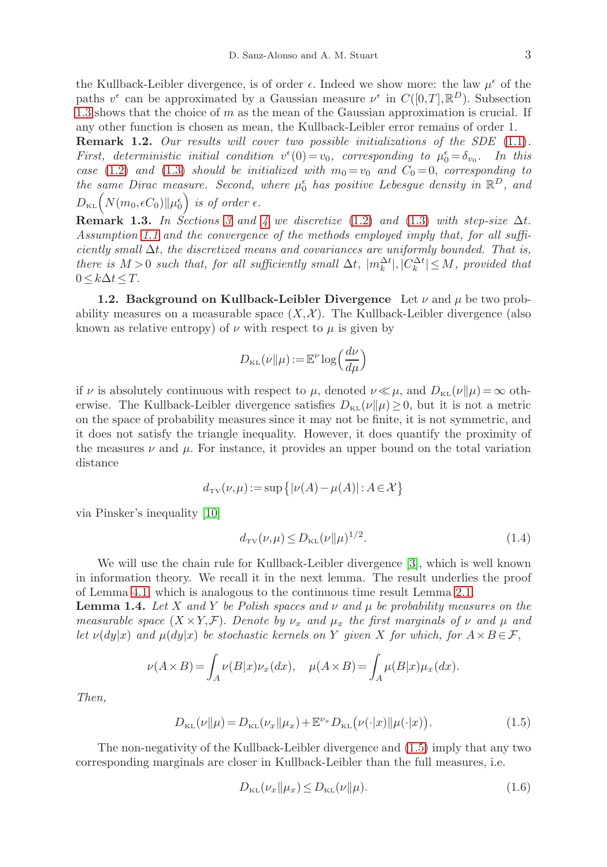the Kullback-Leibler divergence, is of order  $\epsilon$ . Indeed we show more: the law  $\mu^{\epsilon}$  of the paths  $v^{\epsilon}$  can be approximated by a Gaussian measure  $v^{\epsilon}$  in  $C([0,T], \mathbb{R}^{D})$ . Subsection [1.3](#page-3-0) shows that the choice of  $m$  as the mean of the Gaussian approximation is crucial. If any other function is chosen as mean, the Kullback-Leibler error remains of order 1.

<span id="page-2-1"></span>**Remark 1.2.** Our results will cover two possible initializations of the SDE  $(1.1)$ . First, deterministic initial condition  $v^{\epsilon}(0) = v_0$ , corresponding to  $\mu_0^{\epsilon} = \delta_{v_0}$ . In this case [\(1.2\)](#page-1-1) and [\(1.3\)](#page-1-3) should be initialized with  $m_0 = v_0$  and  $C_0 = 0$ , corresponding to the same Dirac measure. Second, where  $\mu_0^{\epsilon}$  has positive Lebesgue density in  $\mathbb{R}^D$ , and  $D_{\text{\tiny KL}}\Bigl(N(m_0,\epsilon C_0)\|\mu_0^\epsilon\Bigr)$  is of order  $\epsilon.$ 

<span id="page-2-6"></span>**Remark 1.3.** In Sections [3](#page-5-0) and [4](#page-7-0) we discretize [\(1.2\)](#page-1-1) and [\(1.3\)](#page-1-3) with step-size  $\Delta t$ . Assumption [1.1](#page-1-2) and the convergence of the methods employed imply that, for all sufficiently small  $\Delta t$ , the discretized means and covariances are uniformly bounded. That is, there is  $M > 0$  such that, for all sufficiently small  $\Delta t$ ,  $|m_k^{\Delta t}|, |C_k^{\Delta t}| \leq M$ , provided that  $0 \leq k \Delta t \leq T$ .

<span id="page-2-0"></span>1.2. Background on Kullback-Leibler Divergence Let  $\nu$  and  $\mu$  be two probability measures on a measurable space  $(X, \mathcal{X})$ . The Kullback-Leibler divergence (also known as relative entropy) of  $\nu$  with respect to  $\mu$  is given by

$$
D_{\text{KL}}(\nu||\mu) := \mathbb{E}^{\nu} \log \left(\frac{d\nu}{d\mu}\right)
$$

if  $\nu$  is absolutely continuous with respect to  $\mu$ , denoted  $\nu \ll \mu$ , and  $D_{\text{KL}}(\nu||\mu) = \infty$  otherwise. The Kullback-Leibler divergence satisfies  $D_{KL}(\nu||\mu) \geq 0$ , but it is not a metric on the space of probability measures since it may not be finite, it is not symmetric, and it does not satisfy the triangle inequality. However, it does quantify the proximity of the measures  $\nu$  and  $\mu$ . For instance, it provides an upper bound on the total variation distance

$$
d_{\text{TV}}(\nu, \mu) \! := \! \sup \big\{|\nu(A) \! - \! \mu(A)| : A \! \in \! \mathcal{X} \big\}
$$

via Pinsker's inequality [\[10\]](#page-9-7)

<span id="page-2-3"></span>
$$
d_{\text{TV}}(\nu, \mu) \le D_{\text{KL}}(\nu \| \mu)^{1/2}.
$$
\n(1.4)

We will use the chain rule for Kullback-Leibler divergence [\[3\]](#page-9-8), which is well known in information theory. We recall it in the next lemma. The result underlies the proof of Lemma [4.1,](#page-8-0) which is analogous to the continuous time result Lemma [2.1.](#page-4-0)

<span id="page-2-5"></span>**Lemma 1.4.** Let X and Y be Polish spaces and  $\nu$  and  $\mu$  be probability measures on the measurable space  $(X \times Y, \mathcal{F})$ . Denote by  $\nu_x$  and  $\mu_x$  the first marginals of  $\nu$  and  $\mu$  and let  $\nu(dy|x)$  and  $\mu(dy|x)$  be stochastic kernels on Y given X for which, for  $A \times B \in \mathcal{F}$ ,

$$
\nu(A \times B) = \int_A \nu(B|x)\nu_x(dx), \quad \mu(A \times B) = \int_A \mu(B|x)\mu_x(dx).
$$

Then,

<span id="page-2-2"></span>
$$
D_{\text{KL}}(\nu||\mu) = D_{\text{KL}}(\nu_x||\mu_x) + \mathbb{E}^{\nu_x} D_{\text{KL}}(\nu(\cdot|x)||\mu(\cdot|x)).
$$
\n(1.5)

The non-negativity of the Kullback-Leibler divergence and [\(1.5\)](#page-2-2) imply that any two corresponding marginals are closer in Kullback-Leibler than the full measures, i.e.

<span id="page-2-4"></span>
$$
D_{\text{KL}}(\nu_x \| \mu_x) \le D_{\text{KL}}(\nu \| \mu). \tag{1.6}
$$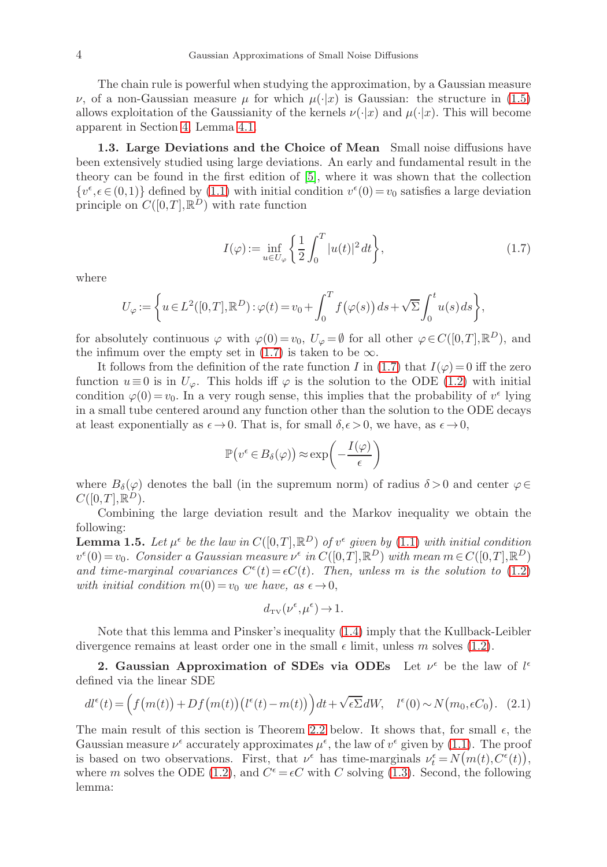The chain rule is powerful when studying the approximation, by a Gaussian measure  $ν$ , of a non-Gaussian measure  $μ$  for which  $μ(·|x)$  is Gaussian: the structure in [\(1.5\)](#page-2-2) allows exploitation of the Gaussianity of the kernels  $\nu(\cdot|x)$  and  $\mu(\cdot|x)$ . This will become apparent in Section [4,](#page-7-0) Lemma [4.1.](#page-8-0)

<span id="page-3-0"></span>1.3. Large Deviations and the Choice of Mean Small noise diffusions have been extensively studied using large deviations. An early and fundamental result in the theory can be found in the first edition of [\[5\]](#page-9-9), where it was shown that the collection  $\{v^{\epsilon}, \epsilon \in (0,1)\}\$  defined by [\(1.1\)](#page-0-0) with initial condition  $v^{\epsilon}(0) = v_0$  satisfies a large deviation principle on  $C([0,T],\mathbb{R}^D)$  with rate function

<span id="page-3-2"></span>
$$
I(\varphi) := \inf_{u \in U_{\varphi}} \left\{ \frac{1}{2} \int_0^T |u(t)|^2 dt \right\},\tag{1.7}
$$

where

$$
U_{\varphi} := \left\{ u \in L^{2}([0, T], \mathbb{R}^{D}) : \varphi(t) = v_{0} + \int_{0}^{T} f(\varphi(s)) ds + \sqrt{\Sigma} \int_{0}^{t} u(s) ds \right\},\,
$$

for absolutely continuous  $\varphi$  with  $\varphi(0) = v_0$ ,  $U_{\varphi} = \emptyset$  for all other  $\varphi \in C([0, T], \mathbb{R}^D)$ , and the infimum over the empty set in [\(1.7\)](#page-3-2) is taken to be  $\infty$ .

It follows from the definition of the rate function I in [\(1.7\)](#page-3-2) that  $I(\varphi) = 0$  iff the zero function  $u \equiv 0$  is in  $U_{\varphi}$ . This holds iff  $\varphi$  is the solution to the ODE [\(1.2\)](#page-1-1) with initial condition  $\varphi(0) = v_0$ . In a very rough sense, this implies that the probability of  $v^{\epsilon}$  lying in a small tube centered around any function other than the solution to the ODE decays at least exponentially as  $\epsilon \to 0$ . That is, for small  $\delta, \epsilon > 0$ , we have, as  $\epsilon \to 0$ ,

$$
\mathbb{P}(v^{\epsilon} \in B_{\delta}(\varphi)) \approx \exp\left(-\frac{I(\varphi)}{\epsilon}\right)
$$

where  $B_\delta(\varphi)$  denotes the ball (in the supremum norm) of radius  $\delta > 0$  and center  $\varphi \in$  $C([0,T], \mathbb{R}^D)$ .

Combining the large deviation result and the Markov inequality we obtain the following:

<span id="page-3-4"></span>**Lemma 1.5.** Let  $\mu^{\epsilon}$  be the law in  $C([0,T], \mathbb{R}^D)$  of  $v^{\epsilon}$  given by [\(1.1\)](#page-0-0) with initial condition  $v^{\epsilon}(0) = v_0$ . Consider a Gaussian measure  $v^{\epsilon}$  in  $C([0,T], \mathbb{R}^D)$  with mean  $m \in C([0,T], \mathbb{R}^D)$ and time-marginal covariances  $C^{\epsilon}(t) = \epsilon C(t)$ . Then, unless m is the solution to [\(1.2\)](#page-1-1) with initial condition  $m(0) = v_0$  we have, as  $\epsilon \to 0$ ,

$$
d_{\mathrm{TV}}(\nu^{\epsilon}, \mu^{\epsilon}) \to 1.
$$

Note that this lemma and Pinsker's inequality [\(1.4\)](#page-2-3) imply that the Kullback-Leibler divergence remains at least order one in the small  $\epsilon$  limit, unless m solves [\(1.2\)](#page-1-1).

<span id="page-3-1"></span>2. Gaussian Approximation of SDEs via ODEs Let  $\nu^{\epsilon}$  be the law of  $l^{\epsilon}$ defined via the linear SDE

<span id="page-3-3"></span>
$$
dl^{\epsilon}(t) = \left(f(m(t)) + Df(m(t))\left(l^{\epsilon}(t) - m(t)\right)\right)dt + \sqrt{\epsilon \Sigma}dW, \quad l^{\epsilon}(0) \sim N(m_0, \epsilon C_0). \tag{2.1}
$$

The main result of this section is Theorem [2.2](#page-4-1) below. It shows that, for small  $\epsilon$ , the Gaussian measure  $\nu^{\epsilon}$  accurately approximates  $\mu^{\epsilon}$ , the law of  $v^{\epsilon}$  given by [\(1.1\)](#page-0-0). The proof is based on two observations. First, that  $\nu^{\epsilon}$  has time-marginals  $\nu^{\epsilon}_t = N(m(t), C^{\epsilon}(t)),$ where m solves the ODE [\(1.2\)](#page-1-1), and  $C^{\epsilon} = \epsilon C$  with C solving [\(1.3\)](#page-1-3). Second, the following lemma: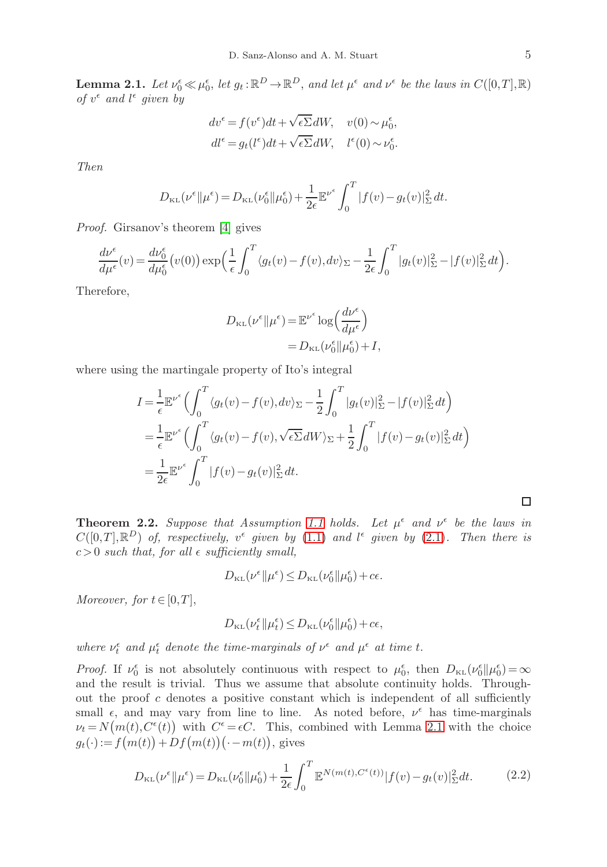<span id="page-4-0"></span>**Lemma 2.1.** Let  $\nu_0^{\epsilon} \ll \mu_0^{\epsilon}$ , let  $g_t : \mathbb{R}^D \to \mathbb{R}^D$ , and let  $\mu^{\epsilon}$  and  $\nu^{\epsilon}$  be the laws in  $C([0,T],\mathbb{R})$ of  $v^{\epsilon}$  and  $l^{\epsilon}$  given by

$$
dv^{\epsilon} = f(v^{\epsilon})dt + \sqrt{\epsilon \Sigma}dW, \quad v(0) \sim \mu_0^{\epsilon},
$$
  

$$
dl^{\epsilon} = g_t(l^{\epsilon})dt + \sqrt{\epsilon \Sigma}dW, \quad l^{\epsilon}(0) \sim \nu_0^{\epsilon}.
$$

Then

$$
D_{\text{KL}}(\nu^{\epsilon}||\mu^{\epsilon}) = D_{\text{KL}}(\nu^{\epsilon}_0||\mu^{\epsilon}_0) + \frac{1}{2\epsilon} \mathbb{E}^{\nu^{\epsilon}} \int_0^T |f(v) - g_t(v)|^2_{\Sigma} dt.
$$

Proof. Girsanov's theorem [\[4\]](#page-9-10) gives

$$
\frac{d\nu^{\epsilon}}{d\mu^{\epsilon}}(v) = \frac{d\nu_0^{\epsilon}}{d\mu_0^{\epsilon}}(v(0)) \exp\left(\frac{1}{\epsilon} \int_0^T \langle g_t(v) - f(v), dv \rangle_{\Sigma} - \frac{1}{2\epsilon} \int_0^T |g_t(v)|_{\Sigma}^2 - |f(v)|_{\Sigma}^2 dt\right).
$$

Therefore,

$$
D_{\text{KL}}(\nu^{\epsilon} \| \mu^{\epsilon}) = \mathbb{E}^{\nu^{\epsilon}} \log \left( \frac{d \nu^{\epsilon}}{d \mu^{\epsilon}} \right)
$$
  
= 
$$
D_{\text{KL}}(\nu^{\epsilon}_{0} \| \mu^{\epsilon}_{0}) + I,
$$

where using the martingale property of Ito's integral

$$
I = \frac{1}{\epsilon} \mathbb{E}^{\nu^{\epsilon}} \Big( \int_0^T \langle g_t(v) - f(v), dv \rangle_{\Sigma} - \frac{1}{2} \int_0^T |g_t(v)|_{\Sigma}^2 - |f(v)|_{\Sigma}^2 dt \Big)
$$
  
= 
$$
\frac{1}{\epsilon} \mathbb{E}^{\nu^{\epsilon}} \Big( \int_0^T \langle g_t(v) - f(v), \sqrt{\epsilon \Sigma} dW \rangle_{\Sigma} + \frac{1}{2} \int_0^T |f(v) - g_t(v)|_{\Sigma}^2 dt \Big)
$$
  
= 
$$
\frac{1}{2\epsilon} \mathbb{E}^{\nu^{\epsilon}} \int_0^T |f(v) - g_t(v)|_{\Sigma}^2 dt.
$$

<span id="page-4-1"></span>**Theorem 2.2.** Suppose that Assumption [1.1](#page-1-2) holds. Let  $\mu^{\epsilon}$  and  $\nu^{\epsilon}$  be the laws in  $C([0,T], \mathbb{R}^D)$  of, respectively,  $v^{\epsilon}$  given by [\(1.1\)](#page-0-0) and  $l^{\epsilon}$  given by [\(2.1\)](#page-3-3). Then there is  $c > 0$  such that, for all  $\epsilon$  sufficiently small,

$$
D_{\text{KL}}(\nu^{\epsilon}||\mu^{\epsilon}) \le D_{\text{KL}}(\nu_0^{\epsilon}||\mu_0^{\epsilon}) + c\epsilon.
$$

Moreover, for  $t \in [0,T]$ ,

$$
D_{\text{\tiny KL}}\big(\nu_{t}^{\epsilon}\big\|\mu_{t}^{\epsilon}\big)\!\leq\! D_{\text{\tiny KL}}\big(\nu_{0}^{\epsilon}\big\|\mu_{0}^{\epsilon}\big)\!+\!c\epsilon,
$$

where  $\nu_t^{\epsilon}$  and  $\mu_t^{\epsilon}$  denote the time-marginals of  $\nu^{\epsilon}$  and  $\mu^{\epsilon}$  at time t.

*Proof.* If  $\nu_0^{\epsilon}$  is not absolutely continuous with respect to  $\mu_0^{\epsilon}$ , then  $D_{\text{KL}}(\nu_0^{\epsilon}||\mu_0^{\epsilon}) = \infty$ and the result is trivial. Thus we assume that absolute continuity holds. Throughout the proof  $c$  denotes a positive constant which is independent of all sufficiently small  $\epsilon$ , and may vary from line to line. As noted before,  $\nu^{\epsilon}$  has time-marginals  $\nu_t = N(m(t), C^{\epsilon}(t))$  with  $C^{\epsilon} = \epsilon C$ . This, combined with Lemma [2.1](#page-4-0) with the choice  $g_t(\cdot) := f(m(t)) + Df(m(t))\left(\cdot - m(t)\right)$ , gives

$$
D_{\text{KL}}(\nu^{\epsilon}||\mu^{\epsilon}) = D_{\text{KL}}(\nu_0^{\epsilon}||\mu_0^{\epsilon}) + \frac{1}{2\epsilon} \int_0^T \mathbb{E}^{N(m(t), C^{\epsilon}(t))} |f(v) - g_t(v)|_{\Sigma}^2 dt.
$$
 (2.2)

<span id="page-4-2"></span>□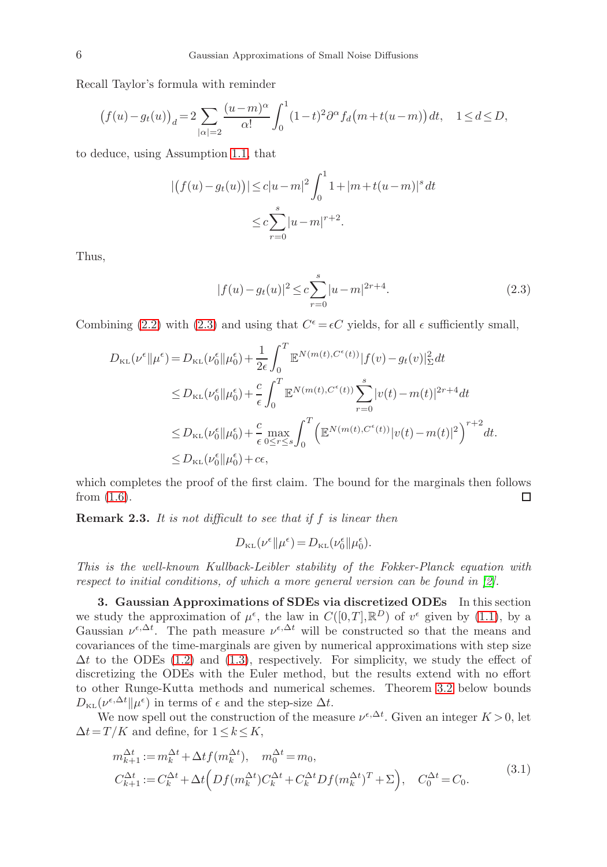Recall Taylor's formula with reminder

$$
(f(u)-g_t(u))_d=2\sum_{|\alpha|=2}\frac{(u-m)^{\alpha}}{\alpha!}\int_0^1(1-t)^2\partial^{\alpha}f_d\big(m+t(u-m)\big)\,dt,\quad 1\leq d\leq D,
$$

to deduce, using Assumption [1.1,](#page-1-2) that

$$
| (f(u) - g_t(u)) | \le c |u - m|^2 \int_0^1 1 + |m + t(u - m)|^s dt
$$
  

$$
\le c \sum_{r=0}^s |u - m|^{r+2}.
$$

Thus,

<span id="page-5-1"></span>
$$
|f(u) - g_t(u)|^2 \le c \sum_{r=0}^{s} |u - m|^{2r+4}.
$$
\n(2.3)

Combining [\(2.2\)](#page-4-2) with [\(2.3\)](#page-5-1) and using that  $C^{\epsilon} = \epsilon C$  yields, for all  $\epsilon$  sufficiently small,

$$
D_{\text{KL}}(\nu^{\epsilon}||\mu^{\epsilon}) = D_{\text{KL}}(\nu^{\epsilon}_{0}||\mu^{\epsilon}_{0}) + \frac{1}{2\epsilon} \int_{0}^{T} \mathbb{E}^{N(m(t), C^{\epsilon}(t))} |f(v) - g_{t}(v)|_{\Sigma}^{2} dt
$$
  
\n
$$
\leq D_{\text{KL}}(\nu^{\epsilon}_{0}||\mu^{\epsilon}_{0}) + \frac{c}{\epsilon} \int_{0}^{T} \mathbb{E}^{N(m(t), C^{\epsilon}(t))} \sum_{r=0}^{s} |v(t) - m(t)|^{2r+4} dt
$$
  
\n
$$
\leq D_{\text{KL}}(\nu^{\epsilon}_{0}||\mu^{\epsilon}_{0}) + \frac{c}{\epsilon} \max_{0 \leq r \leq s} \int_{0}^{T} \left( \mathbb{E}^{N(m(t), C^{\epsilon}(t))} |v(t) - m(t)|^{2} \right)^{r+2} dt
$$
  
\n
$$
\leq D_{\text{KL}}(\nu^{\epsilon}_{0}||\mu^{\epsilon}_{0}) + c\epsilon,
$$

which completes the proof of the first claim. The bound for the marginals then follows from  $(1.6)$ . □

Remark 2.3. It is not difficult to see that if f is linear then

<span id="page-5-2"></span>
$$
D_{\text{KL}}(\nu^{\epsilon} \| \mu^{\epsilon}) = D_{\text{KL}}(\nu_0^{\epsilon} \| \mu_0^{\epsilon}).
$$

This is the well-known Kullback-Leibler stability of the Fokker-Planck equation with respect to initial conditions, of which a more general version can be found in [\[2\]](#page-9-11).

<span id="page-5-0"></span>3. Gaussian Approximations of SDEs via discretized ODEs In this section we study the approximation of  $\mu^{\epsilon}$ , the law in  $C([0,T],\mathbb{R}^D)$  of  $v^{\epsilon}$  given by [\(1.1\)](#page-0-0), by a Gaussian  $\nu^{\epsilon,\Delta t}$ . The path measure  $\nu^{\epsilon,\Delta t}$  will be constructed so that the means and covariances of the time-marginals are given by numerical approximations with step size  $\Delta t$  to the ODEs [\(1.2\)](#page-1-1) and [\(1.3\)](#page-1-3), respectively. For simplicity, we study the effect of discretizing the ODEs with the Euler method, but the results extend with no effort to other Runge-Kutta methods and numerical schemes. Theorem [3.2](#page-6-0) below bounds  $D_{\text{\tiny KL}}(\nu^{\epsilon,\Delta t}||\mu^{\epsilon})$  in terms of  $\epsilon$  and the step-size  $\Delta t$ .

We now spell out the construction of the measure  $\nu^{\epsilon,\Delta t}$ . Given an integer  $K > 0$ , let  $\Delta t = T / K$  and define, for  $1 \leq k \leq K$ ,

$$
m_{k+1}^{\Delta t} := m_k^{\Delta t} + \Delta t f(m_k^{\Delta t}), \quad m_0^{\Delta t} = m_0,
$$
  
\n
$$
C_{k+1}^{\Delta t} := C_k^{\Delta t} + \Delta t \Big( Df(m_k^{\Delta t}) C_k^{\Delta t} + C_k^{\Delta t} Df(m_k^{\Delta t})^T + \Sigma \Big), \quad C_0^{\Delta t} = C_0.
$$
\n(3.1)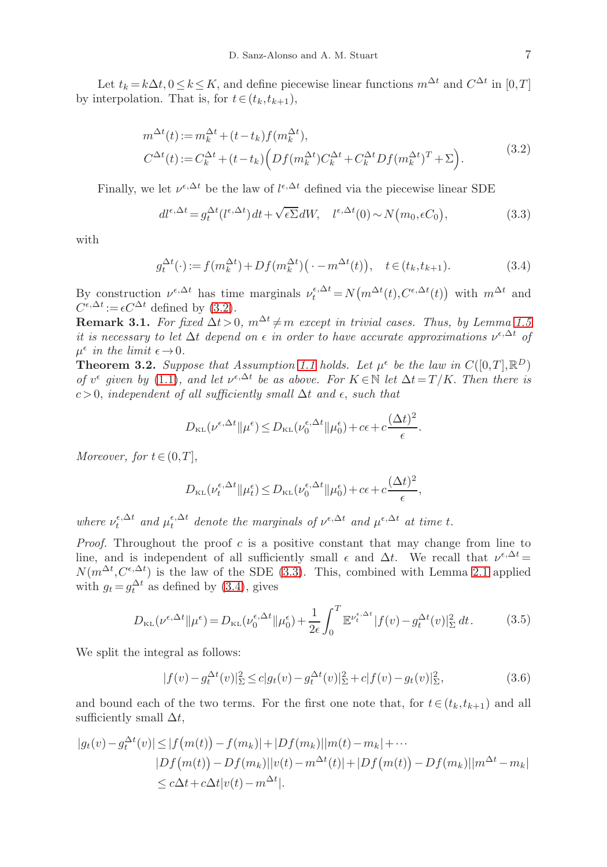Let  $t_k = k\Delta t, 0 \le k \le K$ , and define piecewise linear functions  $m^{\Delta t}$  and  $C^{\Delta t}$  in  $[0,T]$ by interpolation. That is, for  $t \in (t_k, t_{k+1}),$ 

$$
m^{\Delta t}(t) := m_k^{\Delta t} + (t - t_k)f(m_k^{\Delta t}),
$$
  
\n
$$
C^{\Delta t}(t) := C_k^{\Delta t} + (t - t_k)\left(Df(m_k^{\Delta t})C_k^{\Delta t} + C_k^{\Delta t}Df(m_k^{\Delta t})^T + \Sigma\right).
$$
\n(3.2)

Finally, we let  $\nu^{\epsilon,\Delta t}$  be the law of  $l^{\epsilon,\Delta t}$  defined via the piecewise linear SDE

<span id="page-6-2"></span><span id="page-6-1"></span>
$$
dl^{\epsilon,\Delta t} = g_t^{\Delta t}(l^{\epsilon,\Delta t}) dt + \sqrt{\epsilon \Sigma} dW, \quad l^{\epsilon,\Delta t}(0) \sim N(m_0, \epsilon C_0), \tag{3.3}
$$

with

<span id="page-6-3"></span>
$$
g_t^{\Delta t}(\cdot) := f(m_k^{\Delta t}) + Df(m_k^{\Delta t}) \left( \cdot - m^{\Delta t}(t) \right), \quad t \in (t_k, t_{k+1}). \tag{3.4}
$$

By construction  $\nu^{\epsilon,\Delta t}$  has time marginals  $\nu_t^{\epsilon,\Delta t} = N(m^{\Delta t}(t), C^{\epsilon,\Delta t}(t))$  with  $m^{\Delta t}$  and  $C^{\epsilon,\Delta t} := \epsilon C^{\Delta t}$  defined by [\(3.2\)](#page-6-1).

Remark 3.1. For fixed  $\Delta t > 0$ ,  $m^{\Delta t} \neq m$  except in trivial cases. Thus, by Lemma [1.5](#page-3-4) it is necessary to let  $\Delta t$  depend on  $\epsilon$  in order to have accurate approximations  $\nu^{\epsilon,\Delta t}$  of  $\mu^{\epsilon}$  in the limit  $\epsilon \rightarrow 0$ .

<span id="page-6-0"></span>**Theorem 3.2.** Suppose that Assumption [1.1](#page-1-2) holds. Let  $\mu^{\epsilon}$  be the law in  $C([0,T], \mathbb{R}^D)$ of  $v^{\epsilon}$  given by [\(1.1\)](#page-0-0), and let  $v^{\epsilon,\Delta t}$  be as above. For  $K \in \mathbb{N}$  let  $\Delta t = T/K$ . Then there is c >0, independent of all sufficiently small  $\Delta t$  and  $\epsilon$ , such that

$$
D_{\text{KL}}(\nu^{\epsilon,\Delta t}||\mu^{\epsilon}) \le D_{\text{KL}}(\nu_0^{\epsilon,\Delta t}||\mu_0^{\epsilon}) + c\epsilon + c\frac{(\Delta t)^2}{\epsilon}.
$$

Moreover, for  $t \in (0,T]$ ,

$$
D_{\text{KL}}(\nu_t^{\epsilon,\Delta t} \| \mu_t^{\epsilon}) \le D_{\text{KL}}(\nu_0^{\epsilon,\Delta t} \| \mu_0^{\epsilon}) + c\epsilon + c\frac{(\Delta t)^2}{\epsilon},
$$

where  $\nu_t^{\epsilon,\Delta t}$  and  $\mu_t^{\epsilon,\Delta t}$  denote the marginals of  $\nu^{\epsilon,\Delta t}$  and  $\mu^{\epsilon,\Delta t}$  at time t.

*Proof.* Throughout the proof c is a positive constant that may change from line to line, and is independent of all sufficiently small  $\epsilon$  and  $\Delta t$ . We recall that  $\nu^{\epsilon,\Delta t} =$  $N(m^{\Delta t}, C^{\epsilon, \Delta t})$  is the law of the SDE [\(3.3\)](#page-6-2). This, combined with Lemma [2.1](#page-4-0) applied with  $g_t = g_t^{\Delta t}$  as defined by [\(3.4\)](#page-6-3), gives

$$
D_{\text{KL}}(\nu^{\epsilon,\Delta t}||\mu^{\epsilon}) = D_{\text{KL}}(\nu_0^{\epsilon,\Delta t}||\mu_0^{\epsilon}) + \frac{1}{2\epsilon} \int_0^T \mathbb{E}^{\nu_t^{\epsilon,\Delta t}} |f(v) - g_t^{\Delta t}(v)|_{\Sigma}^2 dt.
$$
 (3.5)

We split the integral as follows:

$$
|f(v) - g_t^{\Delta t}(v)|_{\Sigma}^2 \le c|g_t(v) - g_t^{\Delta t}(v)|_{\Sigma}^2 + c|f(v) - g_t(v)|_{\Sigma}^2,
$$
\n(3.6)

and bound each of the two terms. For the first one note that, for  $t \in (t_k, t_{k+1})$  and all sufficiently small  $\Delta t$ ,

$$
|g_t(v) - g_t^{\Delta t}(v)| \le |f(m(t)) - f(m_k)| + |Df(m_k)||m(t) - m_k| + \cdots
$$
  
\n
$$
|Df(m(t)) - Df(m_k)||v(t) - m^{\Delta t}(t)| + |Df(m(t)) - Df(m_k)||m^{\Delta t} - m_k|
$$
  
\n
$$
\le c\Delta t + c\Delta t|v(t) - m^{\Delta t}|.
$$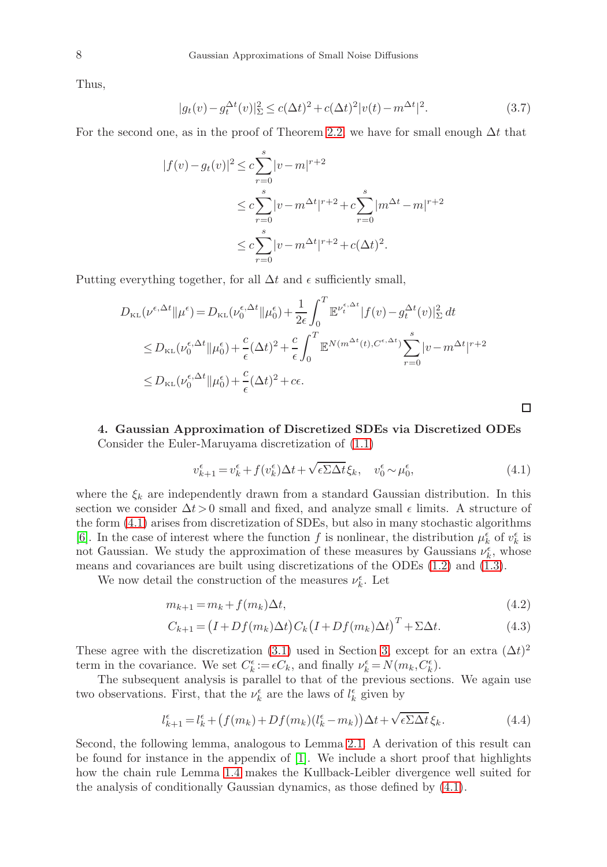Thus,

$$
|g_t(v) - g_t^{\Delta t}(v)|_{\Sigma}^2 \le c(\Delta t)^2 + c(\Delta t)^2 |v(t) - m^{\Delta t}|^2.
$$
 (3.7)

For the second one, as in the proof of Theorem [2.2,](#page-4-1) we have for small enough  $\Delta t$  that

$$
|f(v) - g_t(v)|^2 \le c \sum_{r=0}^s |v - m|^{r+2}
$$
  

$$
\le c \sum_{r=0}^s |v - m^{\Delta t}|^{r+2} + c \sum_{r=0}^s |m^{\Delta t} - m|^{r+2}
$$
  

$$
\le c \sum_{r=0}^s |v - m^{\Delta t}|^{r+2} + c(\Delta t)^2.
$$

Putting everything together, for all  $\Delta t$  and  $\epsilon$  sufficiently small,

$$
D_{\text{KL}}(\nu^{\epsilon,\Delta t}||\mu^{\epsilon}) = D_{\text{KL}}(\nu_0^{\epsilon,\Delta t}||\mu_0^{\epsilon}) + \frac{1}{2\epsilon} \int_0^T \mathbb{E}^{\nu_t^{\epsilon,\Delta t}} |f(v) - g_t^{\Delta t}(v)|_{\Sigma}^2 dt
$$
  
\n
$$
\leq D_{\text{KL}}(\nu_0^{\epsilon,\Delta t}||\mu_0^{\epsilon}) + \frac{c}{\epsilon}(\Delta t)^2 + \frac{c}{\epsilon} \int_0^T \mathbb{E}^{N(m^{\Delta t}(t),C^{\epsilon,\Delta t})} \sum_{r=0}^s |v - m^{\Delta t}|^{r+2}
$$
  
\n
$$
\leq D_{\text{KL}}(\nu_0^{\epsilon,\Delta t}||\mu_0^{\epsilon}) + \frac{c}{\epsilon}(\Delta t)^2 + c\epsilon.
$$

<span id="page-7-0"></span>4. Gaussian Approximation of Discretized SDEs via Discretized ODEs Consider the Euler-Maruyama discretization of [\(1.1\)](#page-0-0)

<span id="page-7-1"></span>
$$
v_{k+1}^{\epsilon} = v_k^{\epsilon} + f(v_k^{\epsilon})\Delta t + \sqrt{\epsilon \Sigma \Delta t} \xi_k, \quad v_0^{\epsilon} \sim \mu_0^{\epsilon}, \tag{4.1}
$$

□

where the  $\xi_k$  are independently drawn from a standard Gaussian distribution. In this section we consider  $\Delta t > 0$  small and fixed, and analyze small  $\epsilon$  limits. A structure of the form [\(4.1\)](#page-7-1) arises from discretization of SDEs, but also in many stochastic algorithms [\[6\]](#page-9-12). In the case of interest where the function  $f$  is nonlinear, the distribution  $\mu_k^{\epsilon}$  of  $v_k^{\epsilon}$  is not Gaussian. We study the approximation of these measures by Gaussians  $\nu_k^{\epsilon}$ , whose means and covariances are built using discretizations of the ODEs [\(1.2\)](#page-1-1) and [\(1.3\)](#page-1-3).

We now detail the construction of the measures  $\nu_k^\epsilon.$  Let

$$
m_{k+1} = m_k + f(m_k)\Delta t,\tag{4.2}
$$

$$
C_{k+1} = (I + Df(m_k)\Delta t)C_k(I + Df(m_k)\Delta t)^T + \Sigma \Delta t.
$$
\n(4.3)

These agree with the discretization [\(3.1\)](#page-5-2) used in Section [3,](#page-5-0) except for an extra  $(\Delta t)^2$ term in the covariance. We set  $C_k^{\epsilon} := \epsilon C_k$ , and finally  $\nu_k^{\epsilon} = N(m_k, C_k^{\epsilon})$ .

The subsequent analysis is parallel to that of the previous sections. We again use two observations. First, that the  $\nu_k^{\epsilon}$  are the laws of  $l_k^{\epsilon}$  given by

<span id="page-7-2"></span>
$$
l_{k+1}^{\epsilon} = l_k^{\epsilon} + \left( f(m_k) + Df(m_k)(l_k^{\epsilon} - m_k) \right) \Delta t + \sqrt{\epsilon \Sigma \Delta t} \, \xi_k. \tag{4.4}
$$

Second, the following lemma, analogous to Lemma [2.1.](#page-4-0) A derivation of this result can be found for instance in the appendix of [\[1\]](#page-9-2). We include a short proof that highlights how the chain rule Lemma [1.4](#page-2-5) makes the Kullback-Leibler divergence well suited for the analysis of conditionally Gaussian dynamics, as those defined by [\(4.1\)](#page-7-1).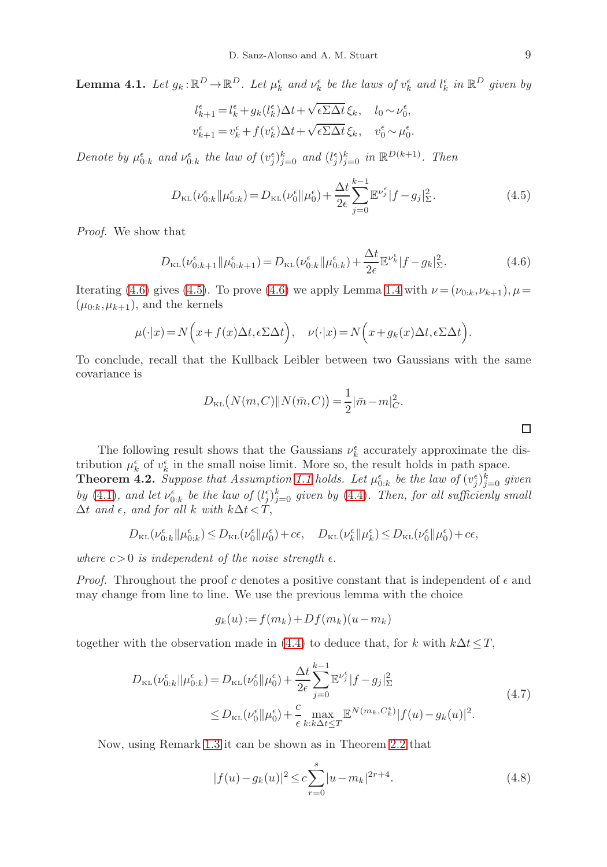<span id="page-8-0"></span>**Lemma 4.1.** Let  $g_k: \mathbb{R}^D \to \mathbb{R}^D$ . Let  $\mu_k^{\epsilon}$  and  $\nu_k^{\epsilon}$  be the laws of  $v_k^{\epsilon}$  and  $l_k^{\epsilon}$  in  $\mathbb{R}^D$  given by

$$
\begin{aligned} l_{k+1}^\epsilon = & \, l_k^\epsilon + g_k(l_k^\epsilon) \Delta t + \sqrt{\epsilon\Sigma\Delta t}\, \xi_k, \quad l_0 \sim \nu_0^\epsilon, \\ & \, v_{k+1}^\epsilon = v_k^\epsilon + f(v_k^\epsilon) \Delta t + \sqrt{\epsilon\Sigma\Delta t}\, \xi_k, \quad v_0^\epsilon \sim \mu_0^\epsilon. \end{aligned}
$$

Denote by  $\mu_{0:k}^{\epsilon}$  and  $\nu_{0:k}^{\epsilon}$  the law of  $(v_j^{\epsilon})_{j=0}^k$  and  $(l_j^{\epsilon})_{j=0}^k$  in  $\mathbb{R}^{D(k+1)}$ . Then

<span id="page-8-2"></span>
$$
D_{\text{KL}}(\nu_{0:k}^{\epsilon}||\mu_{0:k}^{\epsilon}) = D_{\text{KL}}(\nu_0^{\epsilon}||\mu_0^{\epsilon}) + \frac{\Delta t}{2\epsilon} \sum_{j=0}^{k-1} \mathbb{E}^{\nu_j^{\epsilon}} |f - g_j|_{\Sigma}^2.
$$
 (4.5)

Proof. We show that

<span id="page-8-1"></span>
$$
D_{\text{KL}}(\nu_{0:k+1}^{\epsilon} \| \mu_{0:k+1}^{\epsilon}) = D_{\text{KL}}(\nu_{0:k}^{\epsilon} \| \mu_{0:k}^{\epsilon}) + \frac{\Delta t}{2\epsilon} \mathbb{E}^{\nu_k^{\epsilon}} |f - g_k|_{\Sigma}^2.
$$
 (4.6)

Iterating [\(4.6\)](#page-8-1) gives [\(4.5\)](#page-8-2). To prove (4.6) we apply Lemma [1.4](#page-2-5) with  $\nu = (\nu_{0:k}, \nu_{k+1}), \mu =$  $(\mu_{0:k}, \mu_{k+1}),$  and the kernels

$$
\mu(\cdot|x) = N\Big(x + f(x)\Delta t, \epsilon \Sigma \Delta t\Big), \quad \nu(\cdot|x) = N\Big(x + g_k(x)\Delta t, \epsilon \Sigma \Delta t\Big).
$$

To conclude, recall that the Kullback Leibler between two Gaussians with the same covariance is

$$
D_{\text{KL}}(N(m, C) || N(\bar{m}, C)) = \frac{1}{2} |\bar{m} - m|_{C}^{2}.
$$

The following result shows that the Gaussians  $\nu_k^{\epsilon}$  accurately approximate the distribution  $\mu_k^{\epsilon}$  of  $v_k^{\epsilon}$  in the small noise limit. More so, the result holds in path space. **Theorem 4.2.** Suppose that Assumption [1.1](#page-1-2) holds. Let  $\mu_{0:k}^{\epsilon}$  be the law of  $(v_j^{\epsilon})_{j=0}^k$  given by [\(4.1\)](#page-7-1), and let  $\nu_{0:k}^{\epsilon}$  be the law of  $(l_j^{\epsilon})_{j=0}^k$  given by [\(4.4\)](#page-7-2). Then, for all sufficienly small  $\Delta t$  and  $\epsilon$ , and for all k with  $k\Delta t < \tilde{T}$ ,

$$
D_{\mathrm{KL}}(\nu_{0:k}^{\epsilon}\|\mu_{0:k}^{\epsilon})\!\leq\! D_{\mathrm{KL}}(\nu_{0}^{\epsilon}\|\mu_{0}^{\epsilon})\!+\!c\epsilon,\quad D_{\mathrm{KL}}(\nu_{k}^{\epsilon}\|\mu_{k}^{\epsilon})\!\leq\! D_{\mathrm{KL}}(\nu_{0}^{\epsilon}\|\mu_{0}^{\epsilon})\!+\!c\epsilon,\quad
$$

where  $c > 0$  is independent of the noise strength  $\epsilon$ .

*Proof.* Throughout the proof c denotes a positive constant that is independent of  $\epsilon$  and may change from line to line. We use the previous lemma with the choice

$$
g_k(u) := f(m_k) + Df(m_k)(u - m_k)
$$

together with the observation made in [\(4.4\)](#page-7-2) to deduce that, for k with  $k\Delta t \leq T$ ,

$$
D_{\text{KL}}(\nu_{0:k}^{\epsilon}||\mu_{0:k}^{\epsilon}) = D_{\text{KL}}(\nu_{0}^{\epsilon}||\mu_{0}^{\epsilon}) + \frac{\Delta t}{2\epsilon} \sum_{j=0}^{k-1} \mathbb{E}^{\nu_{j}^{\epsilon}} |f - g_{j}|_{\Sigma}^{2}
$$
  
\n
$$
\leq D_{\text{KL}}(\nu_{0}^{\epsilon}||\mu_{0}^{\epsilon}) + \frac{c}{\epsilon} \max_{k:k\Delta t \leq T} \mathbb{E}^{N(m_{k}, C_{k}^{\epsilon})} |f(u) - g_{k}(u)|^{2}.
$$
\n(4.7)

Now, using Remark [1.3](#page-2-6) it can be shown as in Theorem [2.2](#page-4-1) that

<span id="page-8-4"></span>
$$
|f(u) - g_k(u)|^2 \le c \sum_{r=0}^{s} |u - m_k|^{2r+4}.
$$
\n(4.8)

<span id="page-8-3"></span> $\Box$